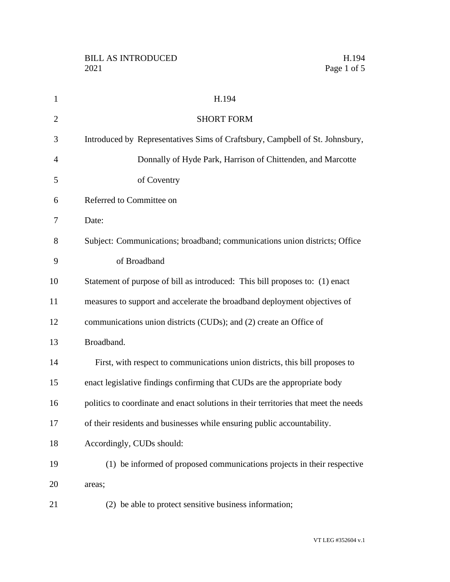| $\mathbf{1}$   | H.194                                                                               |
|----------------|-------------------------------------------------------------------------------------|
| $\overline{2}$ | <b>SHORT FORM</b>                                                                   |
| 3              | Introduced by Representatives Sims of Craftsbury, Campbell of St. Johnsbury,        |
| $\overline{4}$ | Donnally of Hyde Park, Harrison of Chittenden, and Marcotte                         |
| 5              | of Coventry                                                                         |
| 6              | Referred to Committee on                                                            |
| 7              | Date:                                                                               |
| 8              | Subject: Communications; broadband; communications union districts; Office          |
| 9              | of Broadband                                                                        |
| 10             | Statement of purpose of bill as introduced: This bill proposes to: (1) enact        |
| 11             | measures to support and accelerate the broadband deployment objectives of           |
| 12             | communications union districts (CUDs); and (2) create an Office of                  |
| 13             | Broadband.                                                                          |
| 14             | First, with respect to communications union districts, this bill proposes to        |
| 15             | enact legislative findings confirming that CUDs are the appropriate body            |
| 16             | politics to coordinate and enact solutions in their territories that meet the needs |
| 17             | of their residents and businesses while ensuring public accountability.             |
| 18             | Accordingly, CUDs should:                                                           |
| 19             | (1) be informed of proposed communications projects in their respective             |
| 20             | areas;                                                                              |
| 21             | (2) be able to protect sensitive business information;                              |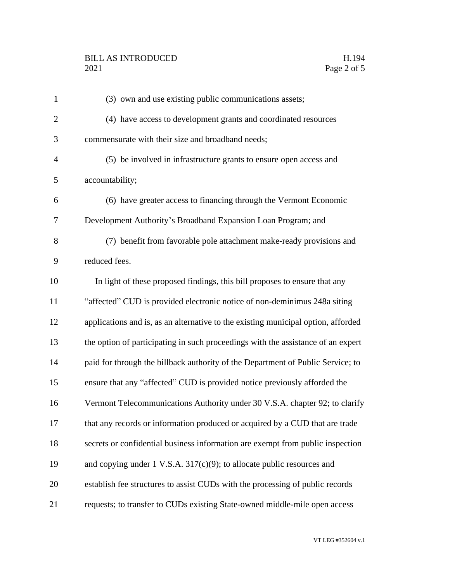## BILL AS INTRODUCED H.194<br>2021 Page 2 of 5

| $\mathbf{1}$   | (3) own and use existing public communications assets;                             |
|----------------|------------------------------------------------------------------------------------|
| $\overline{2}$ | (4) have access to development grants and coordinated resources                    |
| 3              | commensurate with their size and broadband needs;                                  |
| $\overline{4}$ | (5) be involved in infrastructure grants to ensure open access and                 |
| 5              | accountability;                                                                    |
| 6              | (6) have greater access to financing through the Vermont Economic                  |
| 7              | Development Authority's Broadband Expansion Loan Program; and                      |
| 8              | (7) benefit from favorable pole attachment make-ready provisions and               |
| 9              | reduced fees.                                                                      |
| 10             | In light of these proposed findings, this bill proposes to ensure that any         |
| 11             | "affected" CUD is provided electronic notice of non-deminimus 248a siting          |
| 12             | applications and is, as an alternative to the existing municipal option, afforded  |
| 13             | the option of participating in such proceedings with the assistance of an expert   |
| 14             | paid for through the billback authority of the Department of Public Service; to    |
| 15             | ensure that any "affected" CUD is provided notice previously afforded the          |
| 16             | Vermont Telecommunications Authority under 30 V.S.A. chapter 92; to clarify        |
| 17             | that any records or information produced or acquired by a CUD that are trade       |
| 18             | secrets or confidential business information are exempt from public inspection     |
| 19             | and copying under $1 \text{ V.S.A. } 317(c)(9)$ ; to allocate public resources and |
| 20             | establish fee structures to assist CUDs with the processing of public records      |
| 21             | requests; to transfer to CUDs existing State-owned middle-mile open access         |

VT LEG #352604 v.1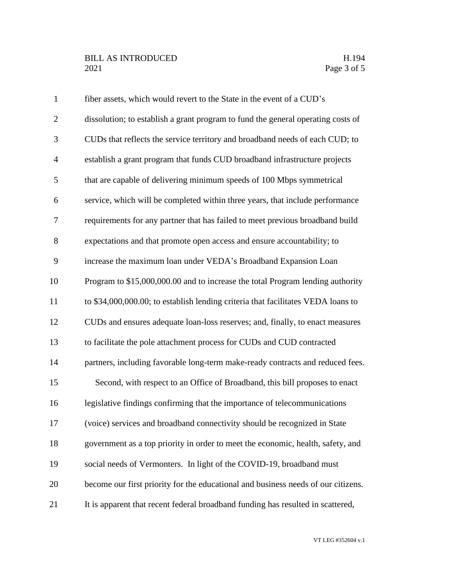| $\mathbf{1}$   | fiber assets, which would revert to the State in the event of a CUD's             |
|----------------|-----------------------------------------------------------------------------------|
| $\overline{2}$ | dissolution; to establish a grant program to fund the general operating costs of  |
| 3              | CUDs that reflects the service territory and broadband needs of each CUD; to      |
| $\overline{4}$ | establish a grant program that funds CUD broadband infrastructure projects        |
| 5              | that are capable of delivering minimum speeds of 100 Mbps symmetrical             |
| 6              | service, which will be completed within three years, that include performance     |
| $\overline{7}$ | requirements for any partner that has failed to meet previous broadband build     |
| 8              | expectations and that promote open access and ensure accountability; to           |
| 9              | increase the maximum loan under VEDA's Broadband Expansion Loan                   |
| 10             | Program to \$15,000,000.00 and to increase the total Program lending authority    |
| 11             | to \$34,000,000.00; to establish lending criteria that facilitates VEDA loans to  |
| 12             | CUDs and ensures adequate loan-loss reserves; and, finally, to enact measures     |
| 13             | to facilitate the pole attachment process for CUDs and CUD contracted             |
| 14             | partners, including favorable long-term make-ready contracts and reduced fees.    |
| 15             | Second, with respect to an Office of Broadband, this bill proposes to enact       |
| 16             | legislative findings confirming that the importance of telecommunications         |
| 17             | (voice) services and broadband connectivity should be recognized in State         |
| 18             | government as a top priority in order to meet the economic, health, safety, and   |
| 19             | social needs of Vermonters. In light of the COVID-19, broadband must              |
| 20             | become our first priority for the educational and business needs of our citizens. |
| 21             | It is apparent that recent federal broadband funding has resulted in scattered,   |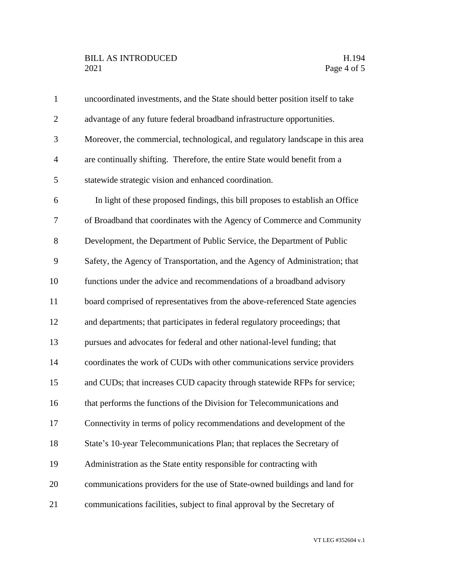## BILL AS INTRODUCED H.194<br>2021 Page 4 of 5

| $\mathbf{1}$   | uncoordinated investments, and the State should better position itself to take |
|----------------|--------------------------------------------------------------------------------|
| $\overline{2}$ | advantage of any future federal broadband infrastructure opportunities.        |
| 3              | Moreover, the commercial, technological, and regulatory landscape in this area |
| $\overline{4}$ | are continually shifting. Therefore, the entire State would benefit from a     |
| 5              | statewide strategic vision and enhanced coordination.                          |
| 6              | In light of these proposed findings, this bill proposes to establish an Office |
| 7              | of Broadband that coordinates with the Agency of Commerce and Community        |
| $8\,$          | Development, the Department of Public Service, the Department of Public        |
| 9              | Safety, the Agency of Transportation, and the Agency of Administration; that   |
| 10             | functions under the advice and recommendations of a broadband advisory         |
| 11             | board comprised of representatives from the above-referenced State agencies    |
| 12             | and departments; that participates in federal regulatory proceedings; that     |
| 13             | pursues and advocates for federal and other national-level funding; that       |
| 14             | coordinates the work of CUDs with other communications service providers       |
| 15             | and CUDs; that increases CUD capacity through statewide RFPs for service;      |
| 16             | that performs the functions of the Division for Telecommunications and         |
| 17             | Connectivity in terms of policy recommendations and development of the         |
| 18             | State's 10-year Telecommunications Plan; that replaces the Secretary of        |
| 19             | Administration as the State entity responsible for contracting with            |
| 20             | communications providers for the use of State-owned buildings and land for     |
| 21             | communications facilities, subject to final approval by the Secretary of       |